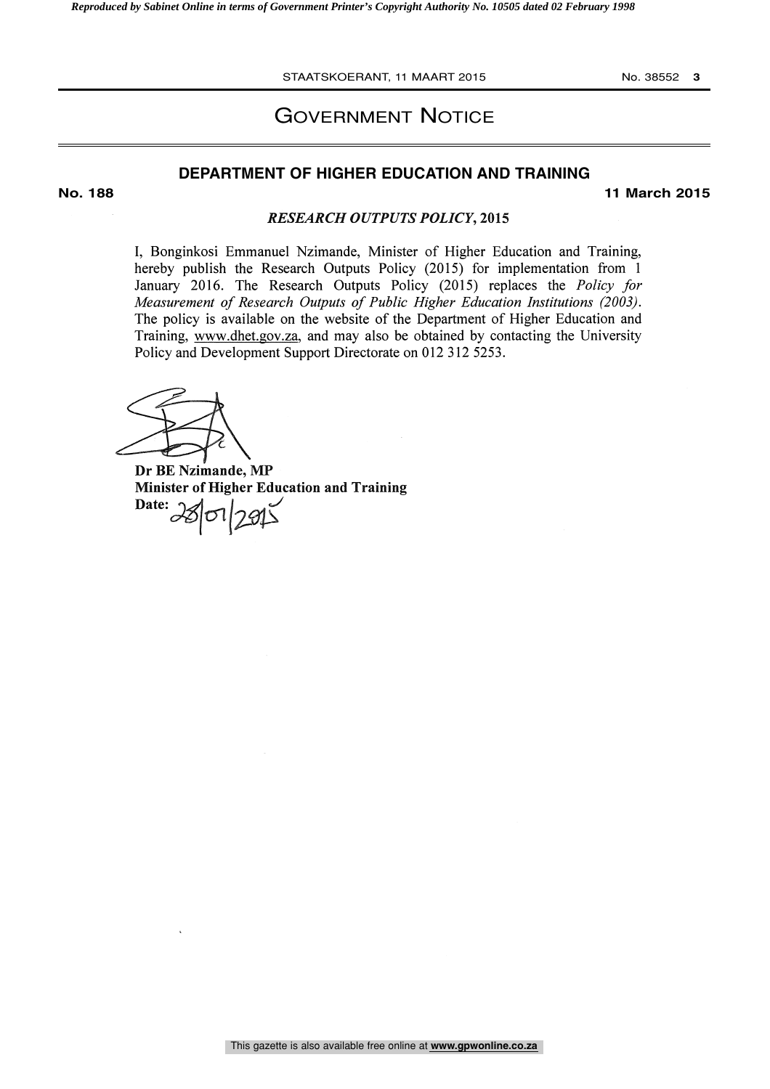STAATSKOERANT, 11 MAART 2015 No. 38552 **3**

### GOVERNMENT NOTICE

### **DEPARTMENT OF HIGHER EDUCATION AND TRAINING**

**No. 188 11 March 2015**

#### RESEARCH OUTPUTS POLICY, 2015

I, Bonginkosi Emmanuel Nzimande, Minister of Higher Education and Training, hereby publish the Research Outputs Policy (2015) for implementation from <sup>1</sup> January 2016. The Research Outputs Policy (2015) replaces the Policy for Measurement of Research Outputs of Public Higher Education Institutions (2003). The policy is available on the website of the Department of Higher Education and Training, www.dhet.gov.za, and may also be obtained by contacting the University Policy and Development Support Directorate on 012 312 5253.

Dr BE Nzimande, MP Minister of Higher Education and Training  $\text{Date:} 28012915$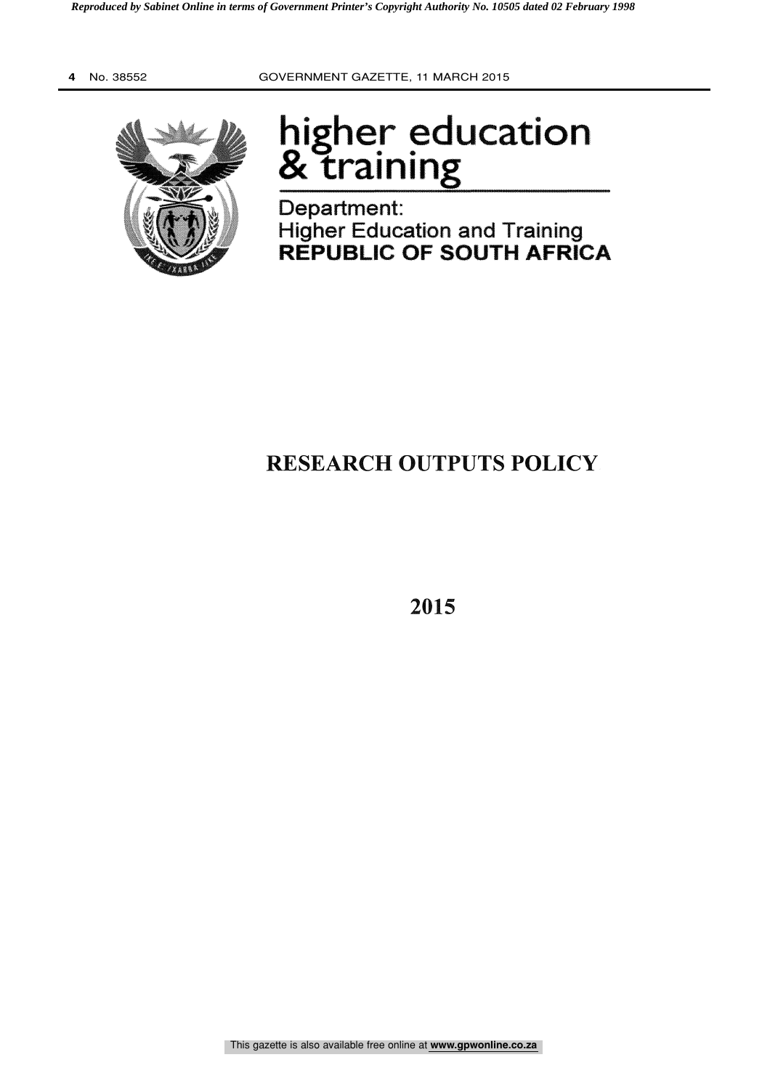

# higher education praining<br>Training

Department: Higher Education and Training REPUBLIC OF SOUTH AFRICA

# RESEARCH OUTPUTS POLICY

2015

This gazette is also available free online at **www.gpwonline.co.za**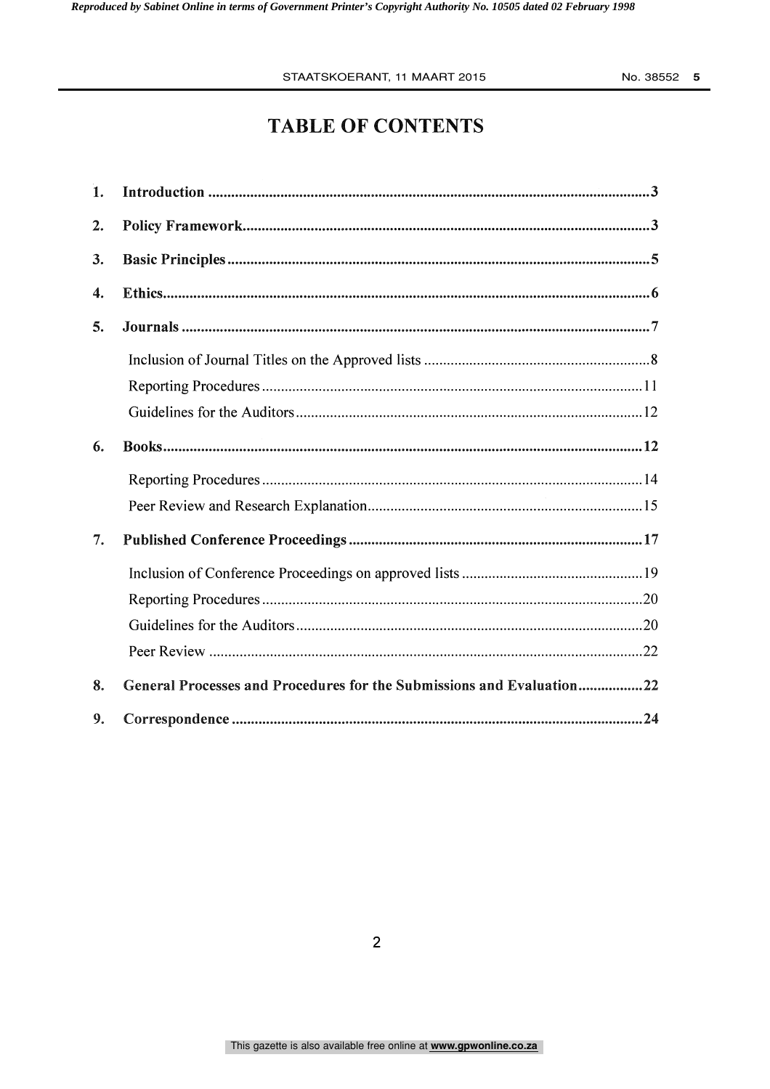#### STAATSKOERANT, 11 MAART 2015 No. 38552 **5**

## TABLE OF CONTENTS

| 1.             |                                                                       |
|----------------|-----------------------------------------------------------------------|
| $\mathbf{2}$ . |                                                                       |
| 3.             |                                                                       |
| 4.             |                                                                       |
| 5.             |                                                                       |
|                |                                                                       |
|                |                                                                       |
|                |                                                                       |
| 6.             |                                                                       |
|                |                                                                       |
|                |                                                                       |
| 7.             |                                                                       |
|                |                                                                       |
|                |                                                                       |
|                |                                                                       |
|                |                                                                       |
| 8.             | General Processes and Procedures for the Submissions and Evaluation22 |
| 9.             |                                                                       |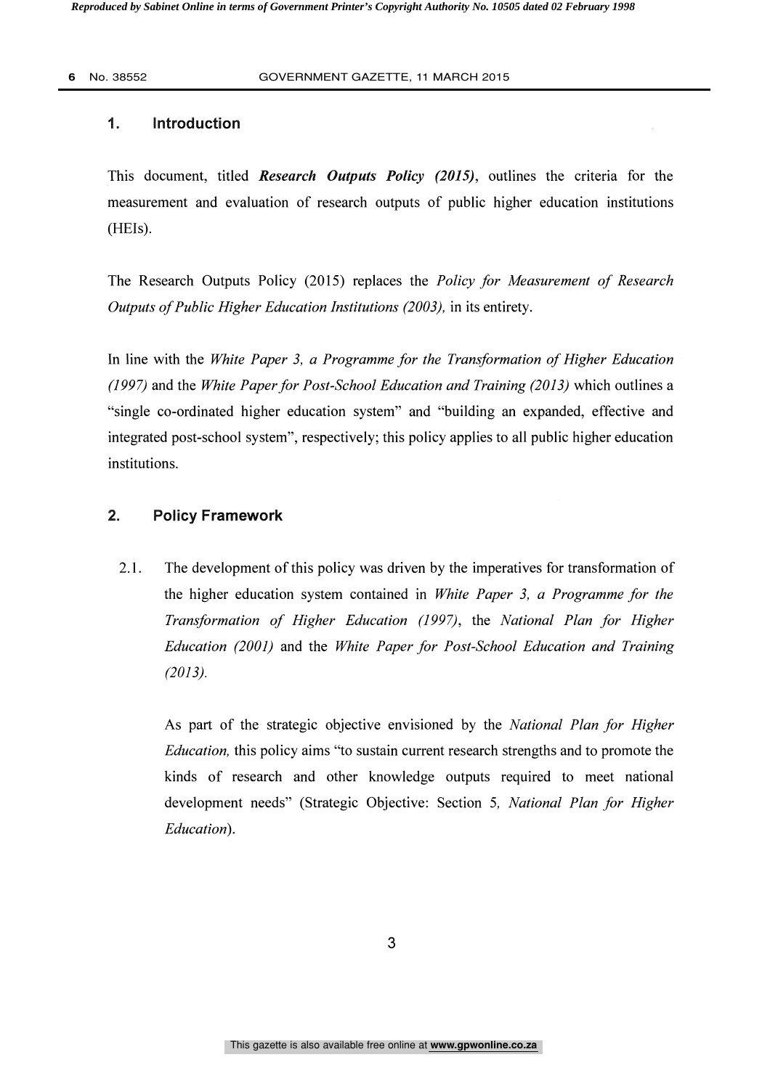### 1. Introduction

This document, titled Research Outputs Policy (2015), outlines the criteria for the measurement and evaluation of research outputs of public higher education institutions  $(HEIs).$ 

The Research Outputs Policy (2015) replaces the *Policy for Measurement of Research* Outputs of Public Higher Education Institutions (2003), in its entirety.

In line with the White Paper 3, a Programme for the Transformation of Higher Education (1997) and the White Paper for Post-School Education and Training (2013) which outlines a "single co-ordinated higher education system" and "building an expanded, effective and integrated post-school system", respectively; this policy applies to all public higher education institutions.

### 2. Policy Framework

2.1. The development of this policy was driven by the imperatives for transformation of the higher education system contained in White Paper 3, a Programme for the Transformation of Higher Education (1997), the National Plan for Higher Education (2001) and the White Paper for Post-School Education and Training (2013).

As part of the strategic objective envisioned by the National Plan for Higher Education, this policy aims "to sustain current research strengths and to promote the kinds of research and other knowledge outputs required to meet national development needs" (Strategic Objective: Section 5, National Plan for Higher Education).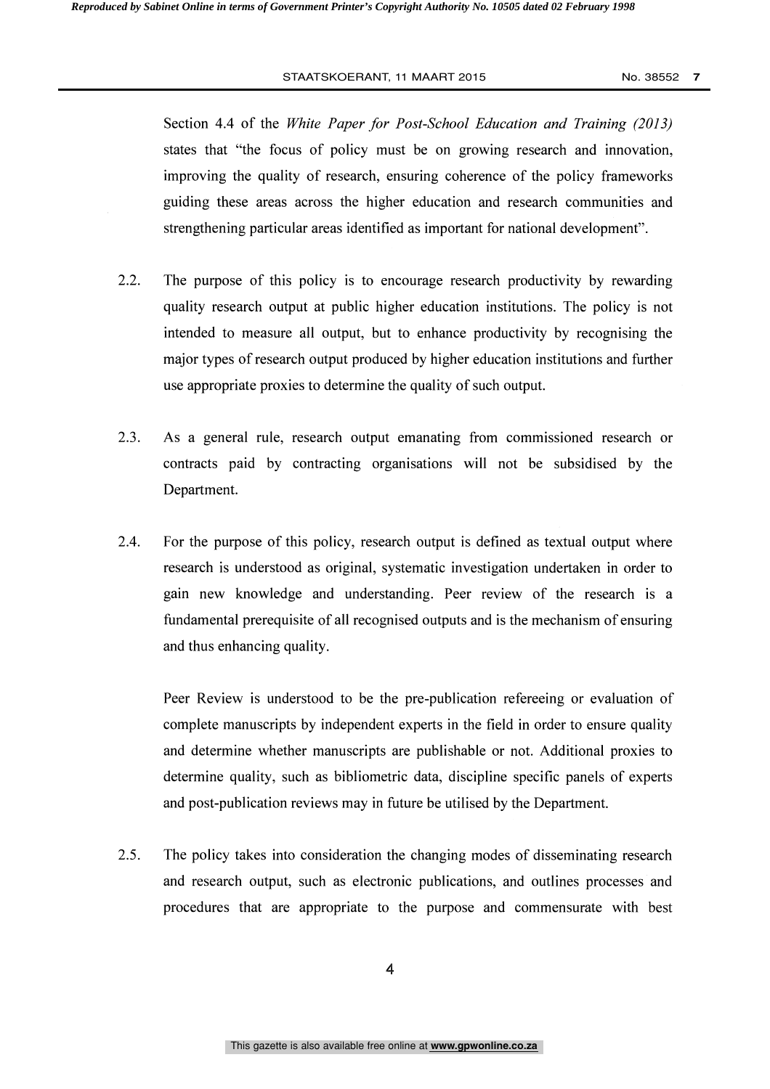#### STAATSKOERANT, 11 MAART 2015 No. 38552 **7**

Section 4.4 of the White Paper for Post-School Education and Training (2013) states that "the focus of policy must be on growing research and innovation, improving the quality of research, ensuring coherence of the policy frameworks guiding these areas across the higher education and research communities and strengthening particular areas identified as important for national development".

- 2.2. The purpose of this policy is to encourage research productivity by rewarding quality research output at public higher education institutions. The policy is not intended to measure all output, but to enhance productivity by recognising the major types of research output produced by higher education institutions and further use appropriate proxies to determine the quality of such output.
- 2.3. As a general rule, research output emanating from commissioned research or contracts paid by contracting organisations will not be subsidised by the Department.
- 2.4. For the purpose of this policy, research output is defined as textual output where research is understood as original, systematic investigation undertaken in order to gain new knowledge and understanding. Peer review of the research is a fundamental prerequisite of all recognised outputs and is the mechanism of ensuring and thus enhancing quality.

Peer Review is understood to be the pre-publication refereeing or evaluation of complete manuscripts by independent experts in the field in order to ensure quality and determine whether manuscripts are publishable or not. Additional proxies to determine quality, such as bibliometric data, discipline specific panels of experts and post-publication reviews may in future be utilised by the Department.

2.5. The policy takes into consideration the changing modes of disseminating research and research output, such as electronic publications, and outlines processes and procedures that are appropriate to the purpose and commensurate with best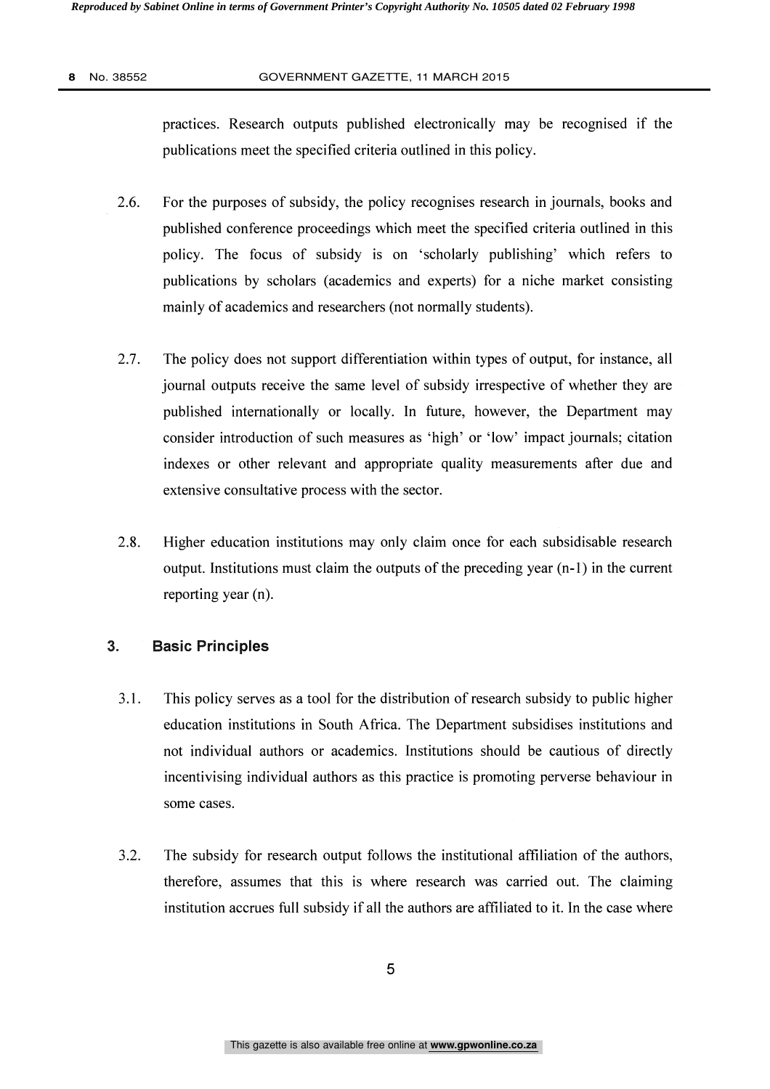practices. Research outputs published electronically may be recognised if the publications meet the specified criteria outlined in this policy.

- 2.6. For the purposes of subsidy, the policy recognises research in journals, books and published conference proceedings which meet the specified criteria outlined in this policy. The focus of subsidy is on 'scholarly publishing' which refers to publications by scholars (academics and experts) for a niche market consisting mainly of academics and researchers (not normally students).
- 2.7. The policy does not support differentiation within types of output, for instance, all journal outputs receive the same level of subsidy irrespective of whether they are published internationally or locally. In future, however, the Department may consider introduction of such measures as 'high' or 'low' impact journals; citation indexes or other relevant and appropriate quality measurements after due and extensive consultative process with the sector.
- 2.8. Higher education institutions may only claim once for each subsidisable research output. Institutions must claim the outputs of the preceding year (n-1) in the current reporting year (n).

### 3. Basic Principles

- 3.1. This policy serves as a tool for the distribution of research subsidy to public higher education institutions in South Africa. The Department subsidises institutions and not individual authors or academics. Institutions should be cautious of directly incentivising individual authors as this practice is promoting perverse behaviour in some cases.
- 3.2. The subsidy for research output follows the institutional affiliation of the authors, therefore, assumes that this is where research was carried out. The claiming institution accrues full subsidy if all the authors are affiliated to it. In the case where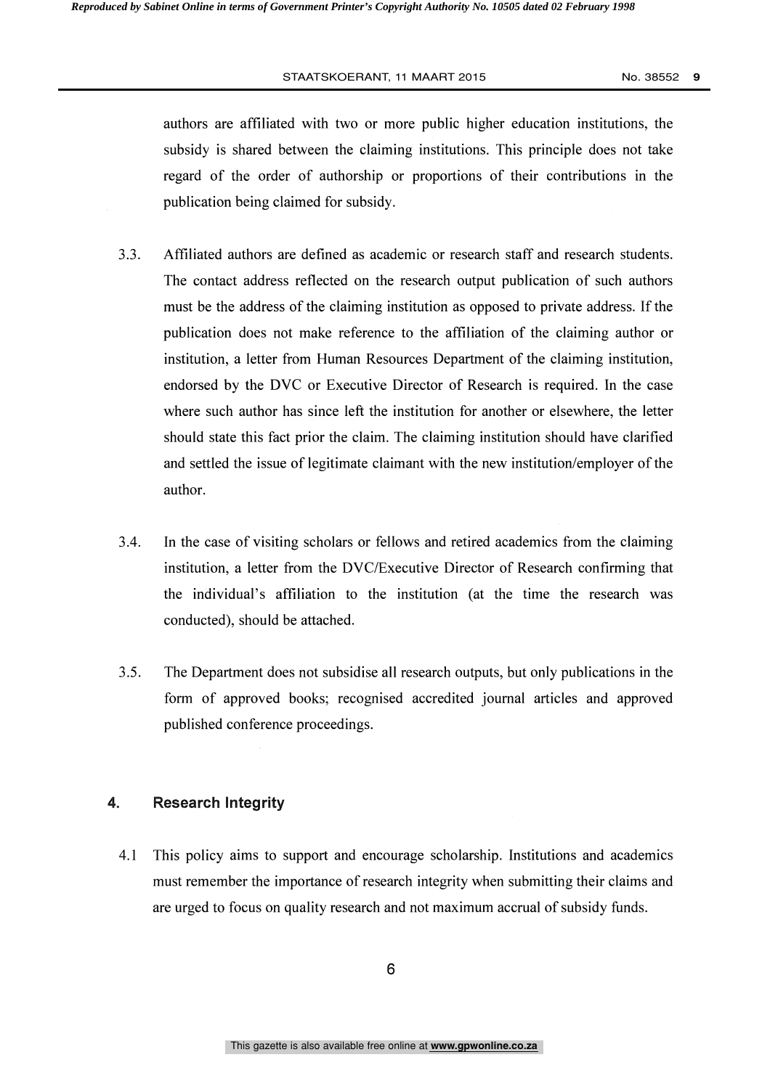#### STAATSKOERANT, 11 MAART 2015 No. 38552 9

authors are affiliated with two or more public higher education institutions, the subsidy is shared between the claiming institutions. This principle does not take regard of the order of authorship or proportions of their contributions in the publication being claimed for subsidy.

- 3.3. Affiliated authors are defined as academic or research staff and research students. The contact address reflected on the research output publication of such authors must be the address of the claiming institution as opposed to private address. If the publication does not make reference to the affiliation of the claiming author or institution, a letter from Human Resources Department of the claiming institution, endorsed by the DVC or Executive Director of Research is required. In the case where such author has since left the institution for another or elsewhere, the letter should state this fact prior the claim. The claiming institution should have clarified and settled the issue of legitimate claimant with the new institution/employer of the author.
- 3.4. In the case of visiting scholars or fellows and retired academics from the claiming institution, a letter from the DVC/Executive Director of Research confirming that the individual's affiliation to the institution (at the time the research was conducted), should be attached.
- 3.5. The Department does not subsidise all research outputs, but only publications in the form of approved books; recognised accredited journal articles and approved published conference proceedings.

### 4. Research Integrity

4.1 This policy aims to support and encourage scholarship. Institutions and academics must remember the importance of research integrity when submitting their claims and are urged to focus on quality research and not maximum accrual of subsidy funds.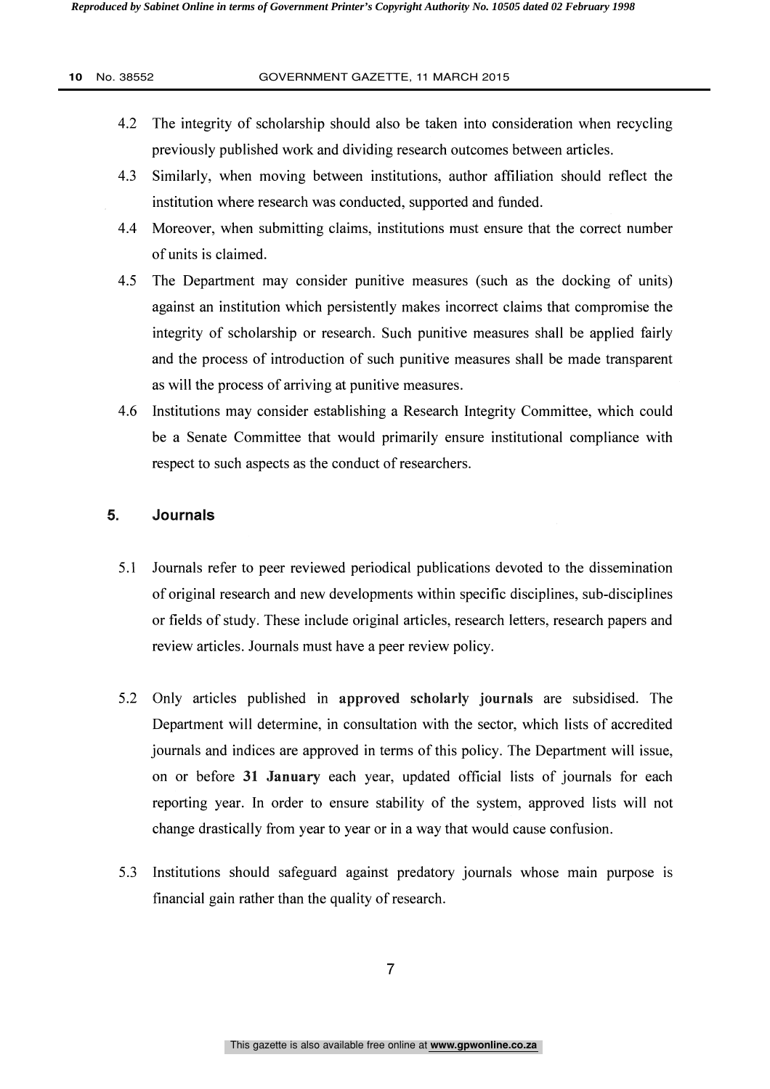- 4.2 The integrity of scholarship should also be taken into consideration when recycling previously published work and dividing research outcomes between articles.
- 4.3 Similarly, when moving between institutions, author affiliation should reflect the institution where research was conducted, supported and funded.
- 4.4 Moreover, when submitting claims, institutions must ensure that the correct number of units is claimed.
- 4.5 The Department may consider punitive measures (such as the docking of units) against an institution which persistently makes incorrect claims that compromise the integrity of scholarship or research. Such punitive measures shall be applied fairly and the process of introduction of such punitive measures shall be made transparent as will the process of arriving at punitive measures.
- 4.6 Institutions may consider establishing a Research Integrity Committee, which could be a Senate Committee that would primarily ensure institutional compliance with respect to such aspects as the conduct of researchers.

#### 5. Journals

- 5.1 Journals refer to peer reviewed periodical publications devoted to the dissemination of original research and new developments within specific disciplines, sub-disciplines or fields of study. These include original articles, research letters, research papers and review articles. Journals must have a peer review policy.
- 5.2 Only articles published in approved scholarly journals are subsidised. The Department will determine, in consultation with the sector, which lists of accredited journals and indices are approved in terms of this policy. The Department will issue, on or before 31 January each year, updated official lists of journals for each reporting year. In order to ensure stability of the system, approved lists will not change drastically from year to year or in a way that would cause confusion.
- 5.3 Institutions should safeguard against predatory journals whose main purpose is financial gain rather than the quality of research.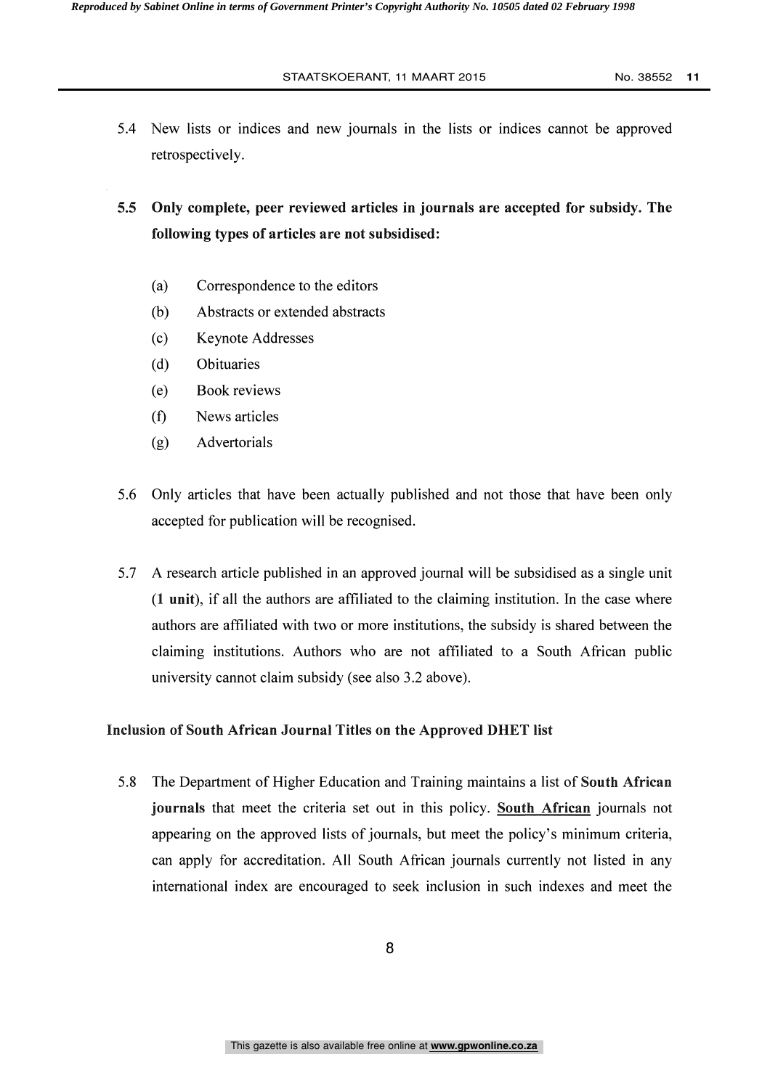5.4 New lists or indices and new journals in the lists or indices cannot be approved retrospectively.

5.5 Only complete, peer reviewed articles in journals are accepted for subsidy. The following types of articles are not subsidised:

- (a) Correspondence to the editors
- (b) Abstracts or extended abstracts
- (c) Keynote Addresses
- (d) Obituaries
- (e) Book reviews
- (f) News articles
- (g) Advertorials
- 5.6 Only articles that have been actually published and not those that have been only accepted for publication will be recognised.
- 5.7 A research article published in an approved journal will be subsidised as a single unit (1 unit), if all the authors are affiliated to the claiming institution. In the case where authors are affiliated with two or more institutions, the subsidy is shared between the claiming institutions. Authors who are not affiliated to a South African public university cannot claim subsidy (see also 3.2 above).

#### Inclusion of South African Journal Titles on the Approved DHET list

5.8 The Department of Higher Education and Training maintains a list of South African journals that meet the criteria set out in this policy. South African journals not appearing on the approved lists of journals, but meet the policy's minimum criteria, can apply for accreditation. All South African journals currently not listed in any international index are encouraged to seek inclusion in such indexes and meet the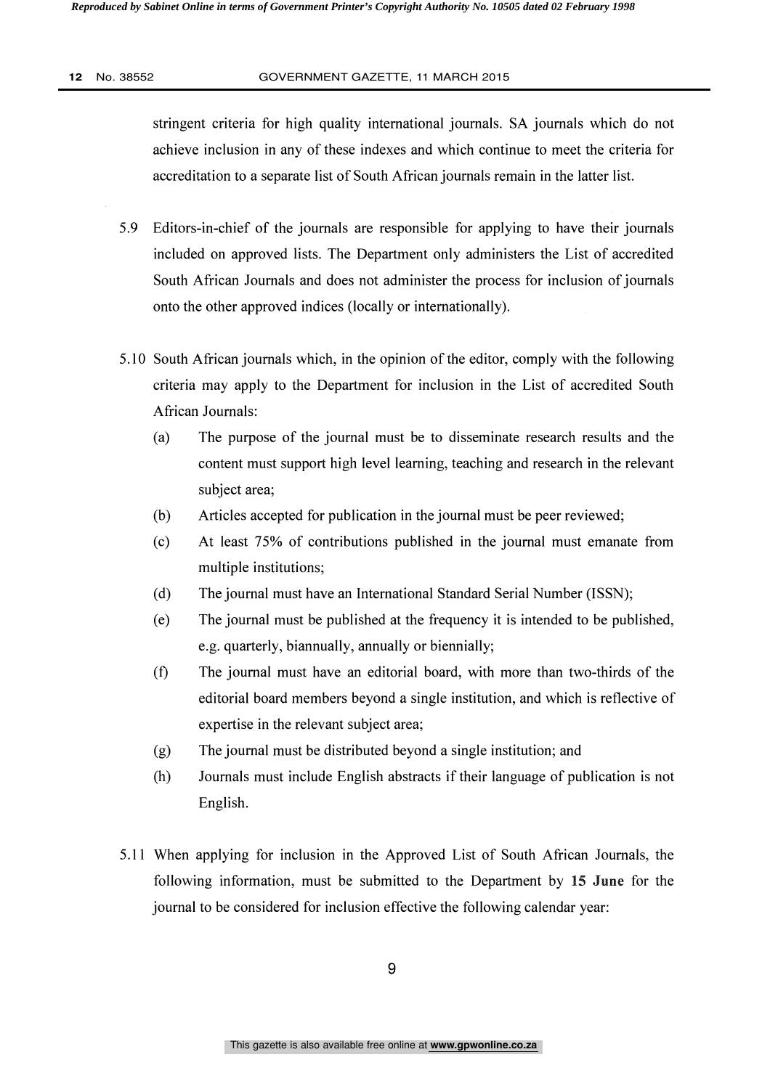stringent criteria for high quality international journals. SA journals which do not achieve inclusion in any of these indexes and which continue to meet the criteria for accreditation to a separate list of South African journals remain in the latter list.

- 5.9 Editors-in-chief of the journals are responsible for applying to have their journals included on approved lists. The Department only administers the List of accredited South African Journals and does not administer the process for inclusion of journals onto the other approved indices (locally or internationally).
- 5.10 South African journals which, in the opinion of the editor, comply with the following criteria may apply to the Department for inclusion in the List of accredited South African Journals:
	- (a) The purpose of the journal must be to disseminate research results and the content must support high level learning, teaching and research in the relevant subject area;
	- (b) Articles accepted for publication in the journal must be peer reviewed;
	- (c) At least 75% of contributions published in the journal must emanate from multiple institutions;
	- (d) The journal must have an International Standard Serial Number (ISSN);
	- (e) The journal must be published at the frequency it is intended to be published, e.g. quarterly, biannually, annually or biennially;
	- (f) The journal must have an editorial board, with more than two-thirds of the editorial board members beyond a single institution, and which is reflective of expertise in the relevant subject area;
	- (g) The journal must be distributed beyond a single institution; and
	- (h) Journals must include English abstracts if their language of publication is not English.
- 5.11 When applying for inclusion in the Approved List of South African Journals, the following information, must be submitted to the Department by 15 June for the journal to be considered for inclusion effective the following calendar year: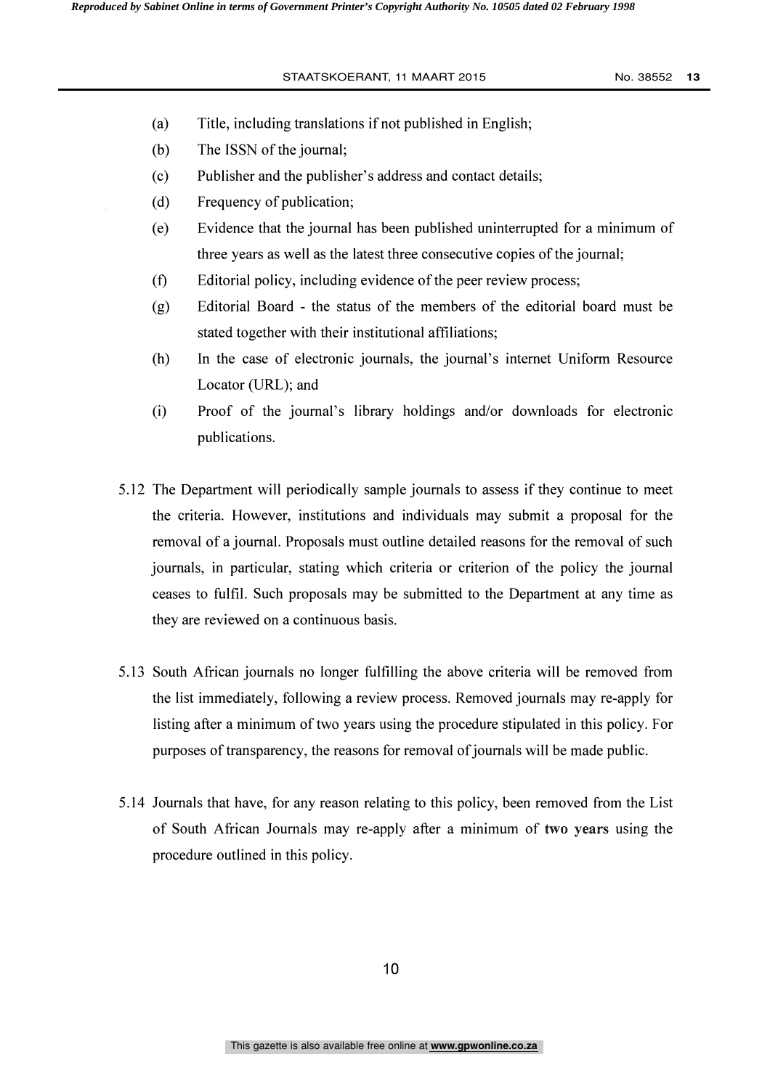- (a) Title, including translations if not published in English;
- (b) The ISSN of the journal;
- (c) Publisher and the publisher's address and contact details;
- (d) Frequency of publication;
- (e) Evidence that the journal has been published uninterrupted for a minimum of three years as well as the latest three consecutive copies of the journal;
- (f) Editorial policy, including evidence of the peer review process;
- (g) Editorial Board the status of the members of the editorial board must be stated together with their institutional affiliations;
- (h) In the case of electronic journals, the journal's internet Uniform Resource Locator (URL); and
- (i) Proof of the journal's library holdings and/or downloads for electronic publications.
- 5.12 The Department will periodically sample journals to assess if they continue to meet the criteria. However, institutions and individuals may submit a proposal for the removal of a journal. Proposals must outline detailed reasons for the removal of such journals, in particular, stating which criteria or criterion of the policy the journal ceases to fulfil. Such proposals may be submitted to the Department at any time as they are reviewed on a continuous basis.
- 5.13 South African journals no longer fulfilling the above criteria will be removed from the list immediately, following a review process. Removed journals may re-apply for listing after a minimum of two years using the procedure stipulated in this policy. For purposes of transparency, the reasons for removal of journals will be made public.
- 5.14 Journals that have, for any reason relating to this policy, been removed from the List of South African Journals may re-apply after a minimum of two years using the procedure outlined in this policy.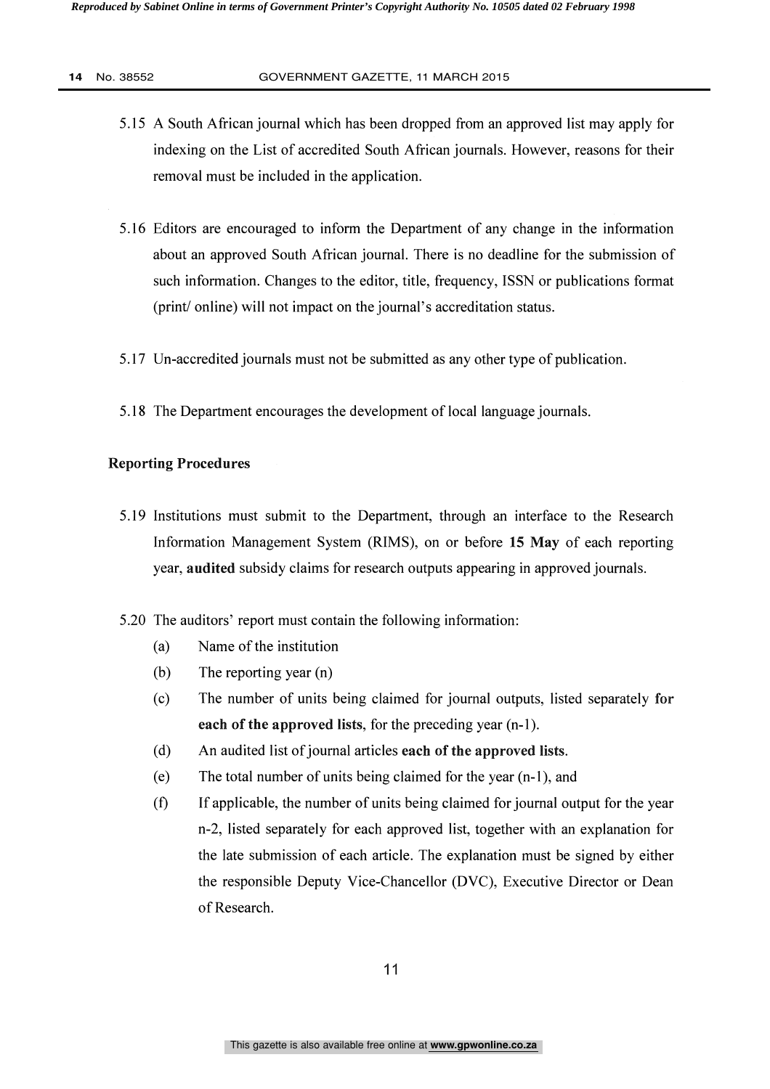- 5.15 A South African journal which has been dropped from an approved list may apply for indexing on the List of accredited South African journals. However, reasons for their removal must be included in the application.
- 5.16 Editors are encouraged to inform the Department of any change in the information about an approved South African journal. There is no deadline for the submission of such information. Changes to the editor, title, frequency, ISSN or publications format (print/ online) will not impact on the journal's accreditation status.
- 5.17 Un-accredited journals must not be submitted as any other type of publication.
- 5.18 The Department encourages the development of local language journals.

#### Reporting Procedures

- 5.19 Institutions must submit to the Department, through an interface to the Research Information Management System (RIMS), on or before 15 May of each reporting year, audited subsidy claims for research outputs appearing in approved journals.
- 5.20 The auditors' report must contain the following information:
	- (a) Name of the institution
	- (b) The reporting year (n)
	- (c) The number of units being claimed for journal outputs, listed separately for each of the approved lists, for the preceding year (n-1).
	- (d) An audited list of journal articles each of the approved lists.
	- (e) The total number of units being claimed for the year (n-1), and
	- (f) If applicable, the number of units being claimed for journal output for the year n-2, listed separately for each approved list, together with an explanation for the late submission of each article. The explanation must be signed by either the responsible Deputy Vice-Chancellor (DVC), Executive Director or Dean of Research.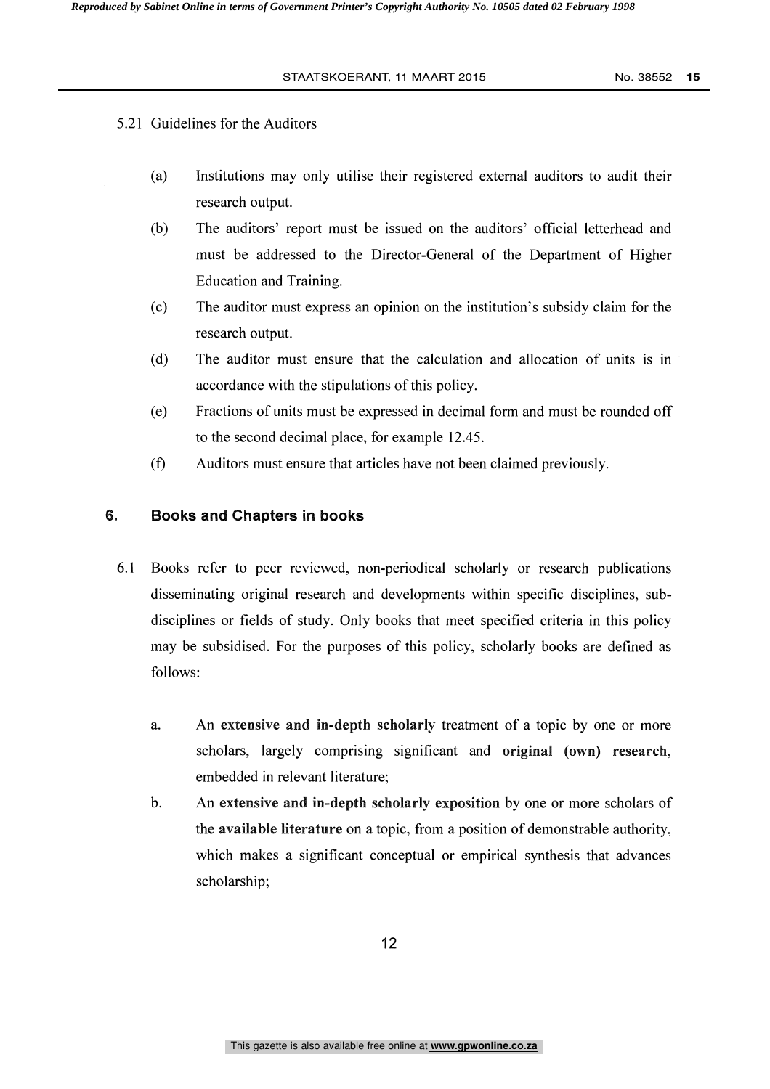### 5.21 Guidelines for the Auditors

- (a) Institutions may only utilise their registered external auditors to audit their research output.
- (b) The auditors' report must be issued on the auditors' official letterhead and must be addressed to the Director-General of the Department of Higher Education and Training.
- (c) The auditor must express an opinion on the institution's subsidy claim for the research output.
- (d) The auditor must ensure that the calculation and allocation of units is in accordance with the stipulations of this policy.
- (e) Fractions of units must be expressed in decimal form and must be rounded off to the second decimal place, for example 12.45.
- (f) Auditors must ensure that articles have not been claimed previously.

#### 6. Books and Chapters in books

- 6.1 Books refer to peer reviewed, non-periodical scholarly or research publications disseminating original research and developments within specific disciplines, subdisciplines or fields of study. Only books that meet specified criteria in this policy may be subsidised. For the purposes of this policy, scholarly books are defined as follows:
	- a. An extensive and in-depth scholarly treatment of a topic by one or more scholars, largely comprising significant and original (own) research, embedded in relevant literature;
	- b. An extensive and in-depth scholarly exposition by one or more scholars of the available literature on a topic, from a position of demonstrable authority, which makes a significant conceptual or empirical synthesis that advances scholarship;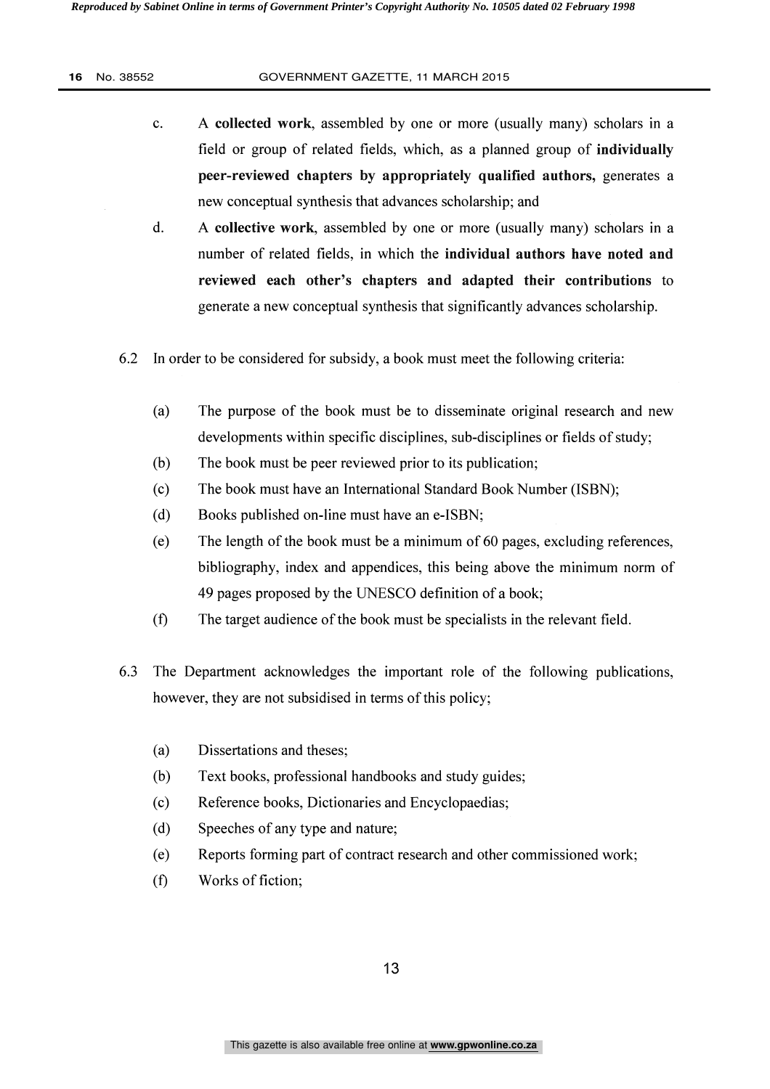- c. A collected work, assembled by one or more (usually many) scholars in a field or group of related fields, which, as a planned group of individually peer-reviewed chapters by appropriately qualified authors, generates a new conceptual synthesis that advances scholarship; and
- d. A collective work, assembled by one or more (usually many) scholars in a number of related fields, in which the individual authors have noted and reviewed each other's chapters and adapted their contributions to generate a new conceptual synthesis that significantly advances scholarship.
- 6.2 In order to be considered for subsidy, a book must meet the following criteria:
	- (a) The purpose of the book must be to disseminate original research and new developments within specific disciplines, sub-disciplines or fields of study;
	- (b) The book must be peer reviewed prior to its publication;
	- (c) The book must have an International Standard Book Number (ISBN);
	- (d) Books published on-line must have an e-ISBN;
	- (e) The length of the book must be a minimum of 60 pages, excluding references, bibliography, index and appendices, this being above the minimum norm of 49 pages proposed by the UNESCO definition of a book;
	- (f) The target audience of the book must be specialists in the relevant field.
- 6.3 The Department acknowledges the important role of the following publications, however, they are not subsidised in terms of this policy;
	- (a) Dissertations and theses;
	- (b) Text books, professional handbooks and study guides;
	- (c) Reference books, Dictionaries and Encyclopaedias;
	- (d) Speeches of any type and nature;
	- (e) Reports forming part of contract research and other commissioned work;
	- (f) Works of fiction;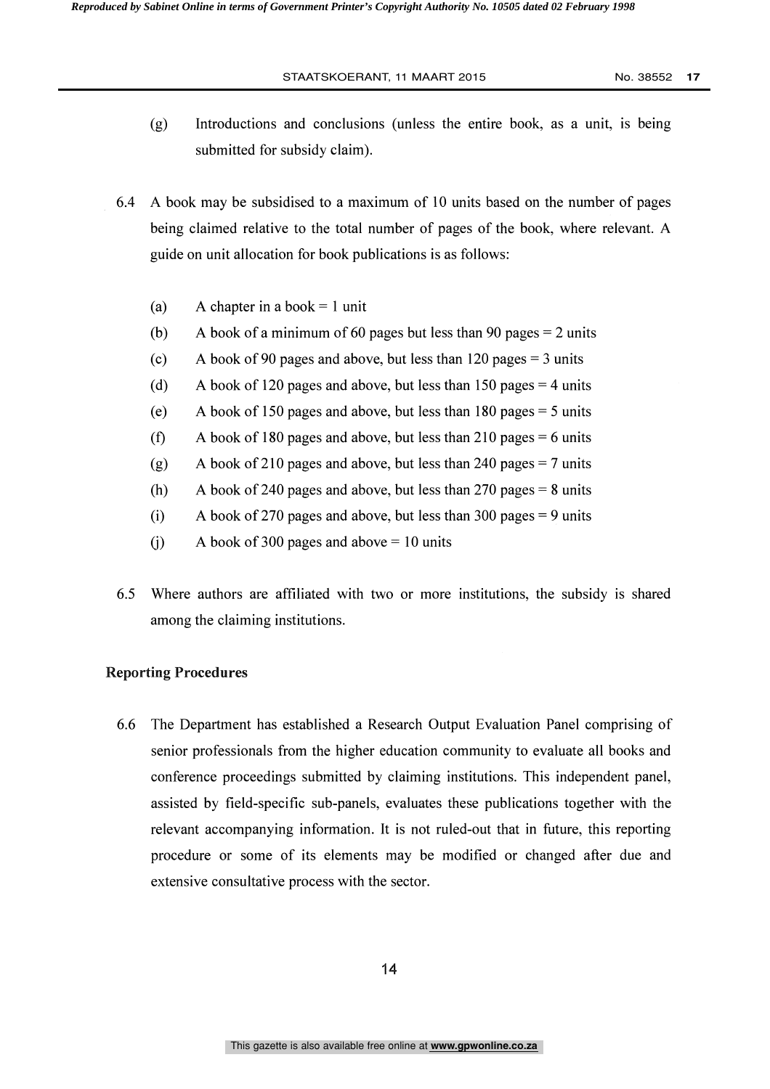- (g) Introductions and conclusions (unless the entire book, as a unit, is being submitted for subsidy claim).
- 6.4 A book may be subsidised to a maximum of 10 units based on the number of pages being claimed relative to the total number of pages of the book, where relevant. A guide on unit allocation for book publications is as follows:
	- (a) A chapter in a book  $= 1$  unit
	- (b) A book of a minimum of 60 pages but less than 90 pages  $= 2$  units
	- (c) A book of 90 pages and above, but less than 120 pages  $=$  3 units
	- (d) A book of 120 pages and above, but less than 150 pages  $=$  4 units
	- (e) A book of 150 pages and above, but less than 180 pages = 5 units
	- (f) A book of 180 pages and above, but less than 210 pages  $= 6$  units
	- (g) A book of 210 pages and above, but less than 240 pages  $= 7$  units
	- (h) A book of 240 pages and above, but less than 270 pages  $= 8$  units
	- (i) A book of 270 pages and above, but less than 300 pages = 9 units
	- (i) A book of 300 pages and above  $= 10$  units
- 6.5 Where authors are affiliated with two or more institutions, the subsidy is shared among the claiming institutions.

#### Reporting Procedures

6.6 The Department has established a Research Output Evaluation Panel comprising of senior professionals from the higher education community to evaluate all books and conference proceedings submitted by claiming institutions. This independent panel, assisted by field-specific sub-panels, evaluates these publications together with the relevant accompanying information. It is not ruled-out that in future, this reporting procedure or some of its elements may be modified or changed after due and extensive consultative process with the sector.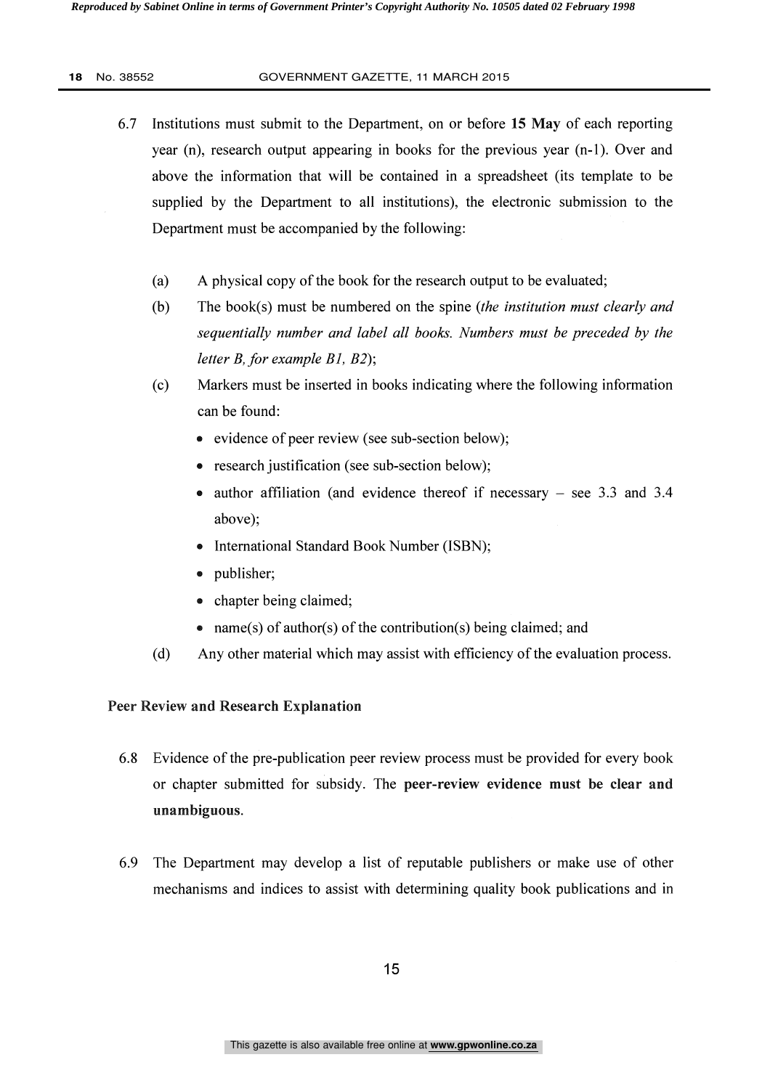- 6.7 Institutions must submit to the Department, on or before 15 May of each reporting year (n), research output appearing in books for the previous year (n-1). Over and above the information that will be contained in a spreadsheet (its template to be supplied by the Department to all institutions), the electronic submission to the Department must be accompanied by the following:
	- (a) A physical copy of the book for the research output to be evaluated;
	- (b) The book(s) must be numbered on the spine (the institution must clearly and sequentially number and label all books. Numbers must be preceded by the letter B, for example Bl, B2);
	- (c) Markers must be inserted in books indicating where the following information can be found:
		- evidence of peer review (see sub-section below);
		- research justification (see sub-section below);
		- author affiliation (and evidence thereof if necessary  $-$  see 3.3 and 3.4 above);
		- International Standard Book Number (ISBN);
		- publisher;
		- chapter being claimed;
		- name(s) of author(s) of the contribution(s) being claimed; and
	- (d) Any other material which may assist with efficiency of the evaluation process.

### Peer Review and Research Explanation

- 6.8 Evidence of the pre-publication peer review process must be provided for every book or chapter submitted for subsidy. The peer-review evidence must be clear and unambiguous.
- 6.9 The Department may develop a list of reputable publishers or make use of other mechanisms and indices to assist with determining quality book publications and in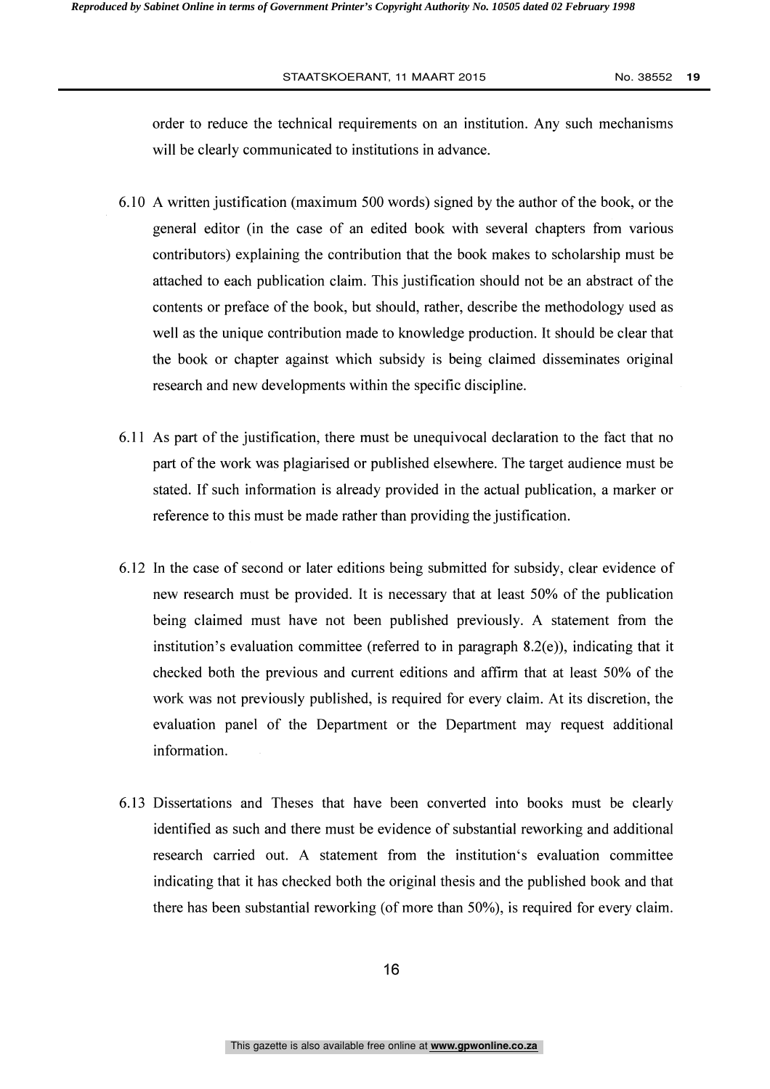order to reduce the technical requirements on an institution. Any such mechanisms will be clearly communicated to institutions in advance.

- 6.10 A written justification (maximum 500 words) signed by the author of the book, or the general editor (in the case of an edited book with several chapters from various contributors) explaining the contribution that the book makes to scholarship must be attached to each publication claim. This justification should not be an abstract of the contents or preface of the book, but should, rather, describe the methodology used as well as the unique contribution made to knowledge production. It should be clear that the book or chapter against which subsidy is being claimed disseminates original research and new developments within the specific discipline.
- 6.11 As part of the justification, there must be unequivocal declaration to the fact that no part of the work was plagiarised or published elsewhere. The target audience must be stated. If such information is already provided in the actual publication, a marker or reference to this must be made rather than providing the justification.
- 6.12 In the case of second or later editions being submitted for subsidy, clear evidence of new research must be provided. It is necessary that at least 50% of the publication being claimed must have not been published previously. A statement from the institution's evaluation committee (referred to in paragraph 8.2(e)), indicating that it checked both the previous and current editions and affirm that at least 50% of the work was not previously published, is required for every claim. At its discretion, the evaluation panel of the Department or the Department may request additional information.
- 6.13 Dissertations and Theses that have been converted into books must be clearly identified as such and there must be evidence of substantial reworking and additional research carried out. A statement from the institution's evaluation committee indicating that it has checked both the original thesis and the published book and that there has been substantial reworking (of more than 50%), is required for every claim.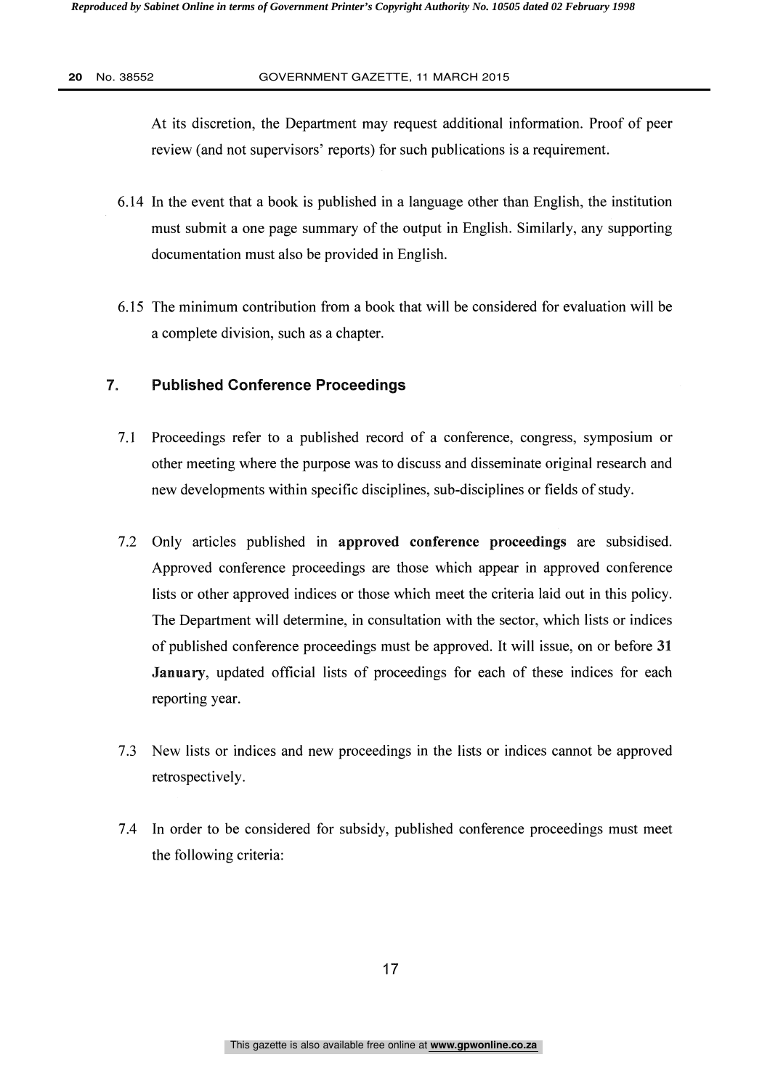At its discretion, the Department may request additional information. Proof of peer review (and not supervisors' reports) for such publications is a requirement.

- 6.14 In the event that a book is published in a language other than English, the institution must submit a one page summary of the output in English. Similarly, any supporting documentation must also be provided in English.
- 6.15 The minimum contribution from a book that will be considered for evaluation will be a complete division, such as a chapter.

### 7. Published Conference Proceedings

- 7.1 Proceedings refer to a published record of a conference, congress, symposium or other meeting where the purpose was to discuss and disseminate original research and new developments within specific disciplines, sub-disciplines or fields of study.
- 7.2 Only articles published in approved conference proceedings are subsidised. Approved conference proceedings are those which appear in approved conference lists or other approved indices or those which meet the criteria laid out in this policy. The Department will determine, in consultation with the sector, which lists or indices of published conference proceedings must be approved. It will issue, on or before 31 January, updated official lists of proceedings for each of these indices for each reporting year.
- 7.3 New lists or indices and new proceedings in the lists or indices cannot be approved retrospectively.
- 7.4 In order to be considered for subsidy, published conference proceedings must meet the following criteria: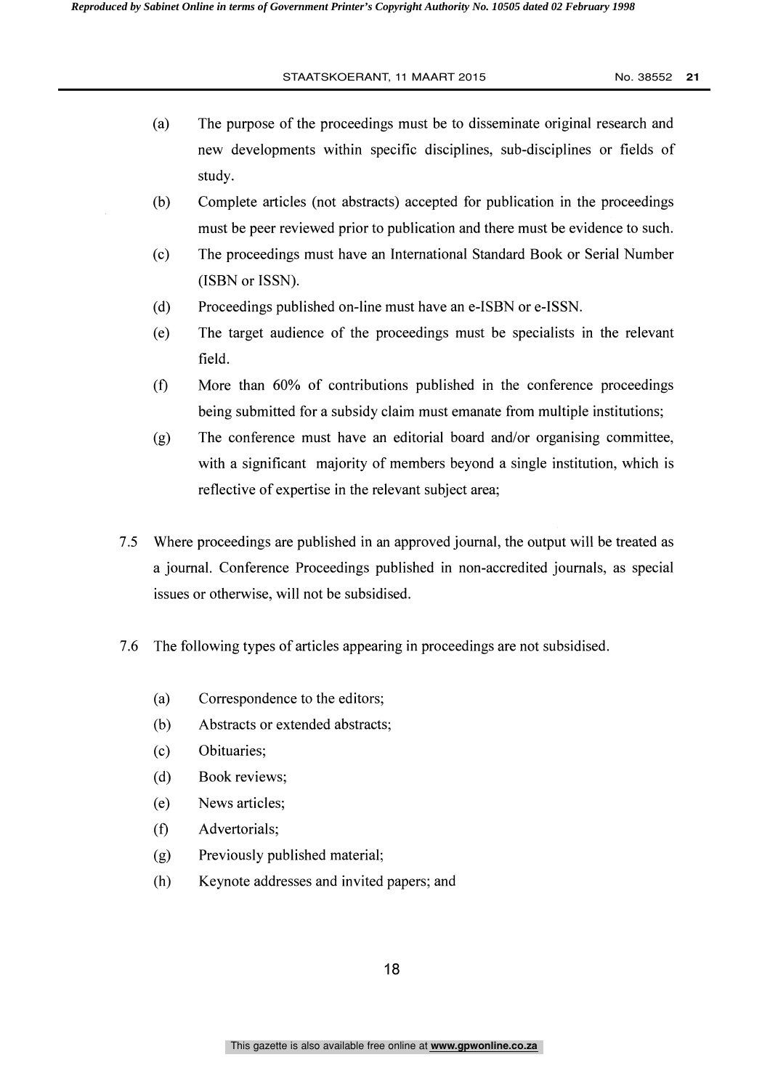- (a) The purpose of the proceedings must be to disseminate original research and new developments within specific disciplines, sub-disciplines or fields of study.
- (b) Complete articles (not abstracts) accepted for publication in the proceedings must be peer reviewed prior to publication and there must be evidence to such.
- (c) The proceedings must have an International Standard Book or Serial Number (ISBN or ISSN).
- (d) Proceedings published on-line must have an e-ISBN or e-ISSN.
- (e) The target audience of the proceedings must be specialists in the relevant field.
- $(f)$ More than 60% of contributions published in the conference proceedings being submitted for a subsidy claim must emanate from multiple institutions;
- (g) The conference must have an editorial board and/or organising committee, with a significant majority of members beyond a single institution, which is reflective of expertise in the relevant subject area;
- 7.5 Where proceedings are published in an approved journal, the output will be treated as a journal. Conference Proceedings published in non-accredited journals, as special issues or otherwise, will not be subsidised.
- 7.6 The following types of articles appearing in proceedings are not subsidised.
	- (a) Correspondence to the editors;
	- (b) Abstracts or extended abstracts;
	- (c) Obituaries;
	- (d) Book reviews;
	- (e) News articles;
	- Advertorials;  $(f)$
	- (g) Previously published material;
	- (h) Keynote addresses and invited papers; and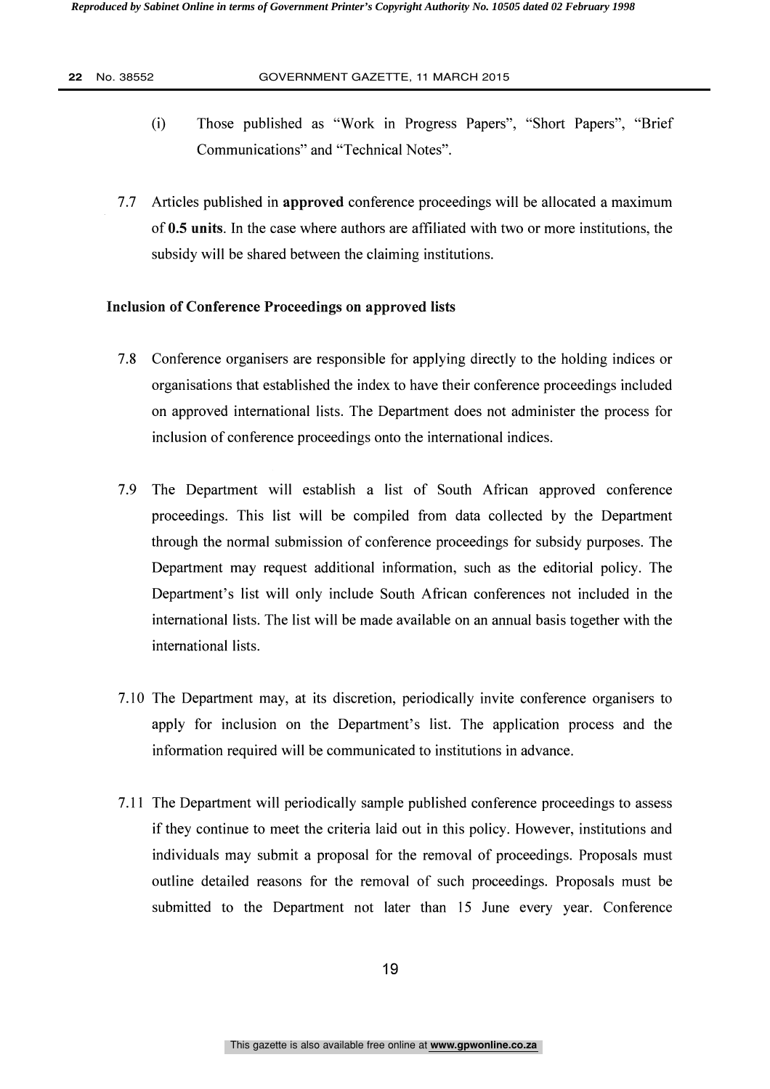- (i) Those published as "Work in Progress Papers", "Short Papers", "Brief Communications" and "Technical Notes".
- 7.7 Articles published in approved conference proceedings will be allocated a maximum of 0.5 units. In the case where authors are affiliated with two or more institutions, the subsidy will be shared between the claiming institutions.

#### Inclusion of Conference Proceedings on approved lists

- 7.8 Conference organisers are responsible for applying directly to the holding indices or organisations that established the index to have their conference proceedings included on approved international lists. The Department does not administer the process for inclusion of conference proceedings onto the international indices.
- 7.9 The Department will establish a list of South African approved conference proceedings. This list will be compiled from data collected by the Department through the normal submission of conference proceedings for subsidy purposes. The Department may request additional information, such as the editorial policy. The Department's list will only include South African conferences not included in the international lists. The list will be made available on an annual basis together with the international lists.
- 7.10 The Department may, at its discretion, periodically invite conference organisers to apply for inclusion on the Department's list. The application process and the information required will be communicated to institutions in advance.
- 7.11 The Department will periodically sample published conference proceedings to assess if they continue to meet the criteria laid out in this policy. However, institutions and individuals may submit a proposal for the removal of proceedings. Proposals must outline detailed reasons for the removal of such proceedings. Proposals must be submitted to the Department not later than 15 June every year. Conference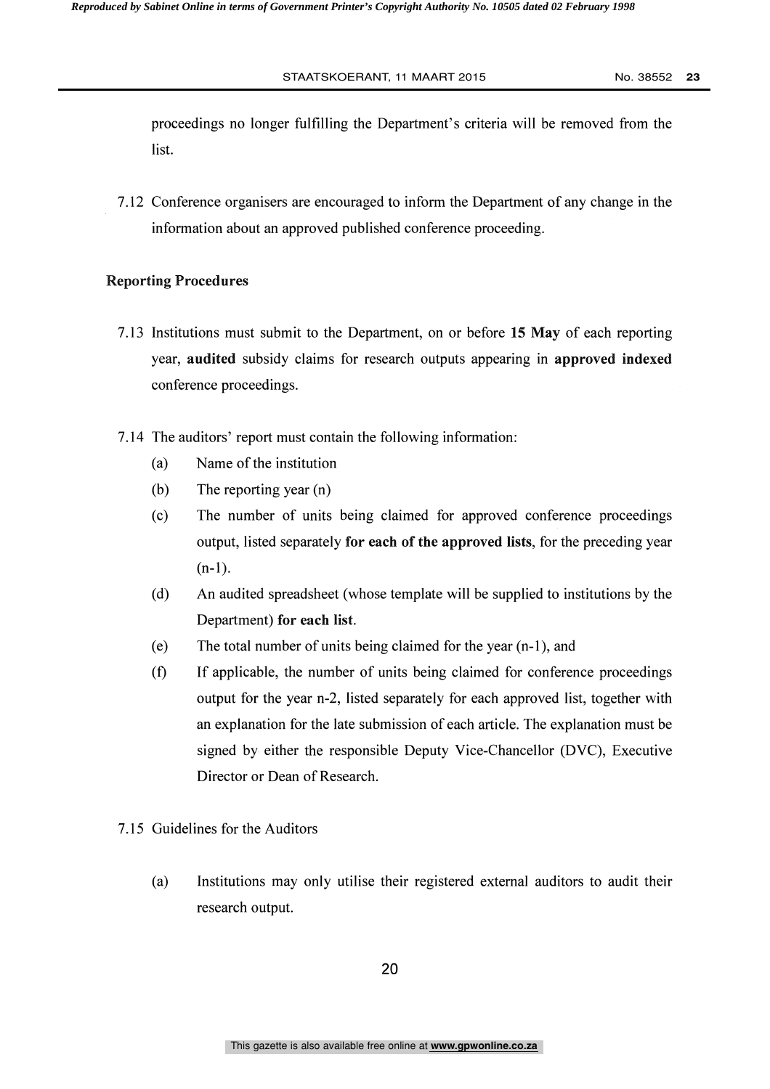proceedings no longer fulfilling the Department's criteria will be removed from the list.

7.12 Conference organisers are encouraged to inform the Department of any change in the information about an approved published conference proceeding.

#### Reporting Procedures

- 7.13 Institutions must submit to the Department, on or before 15 May of each reporting year, audited subsidy claims for research outputs appearing in approved indexed conference proceedings.
- 7.14 The auditors' report must contain the following information:
	- (a) Name of the institution
	- (b) The reporting year (n)
	- (c) The number of units being claimed for approved conference proceedings output, listed separately for each of the approved lists, for the preceding year  $(n-1)$ .
	- (d) An audited spreadsheet (whose template will be supplied to institutions by the Department) for each list.
	- (e) The total number of units being claimed for the year (n-1), and
	- (f) If applicable, the number of units being claimed for conference proceedings output for the year n-2, listed separately for each approved list, together with an explanation for the late submission of each article. The explanation must be signed by either the responsible Deputy Vice-Chancellor (DVC), Executive Director or Dean of Research.
- 7.15 Guidelines for the Auditors
	- (a) Institutions may only utilise their registered external auditors to audit their research output.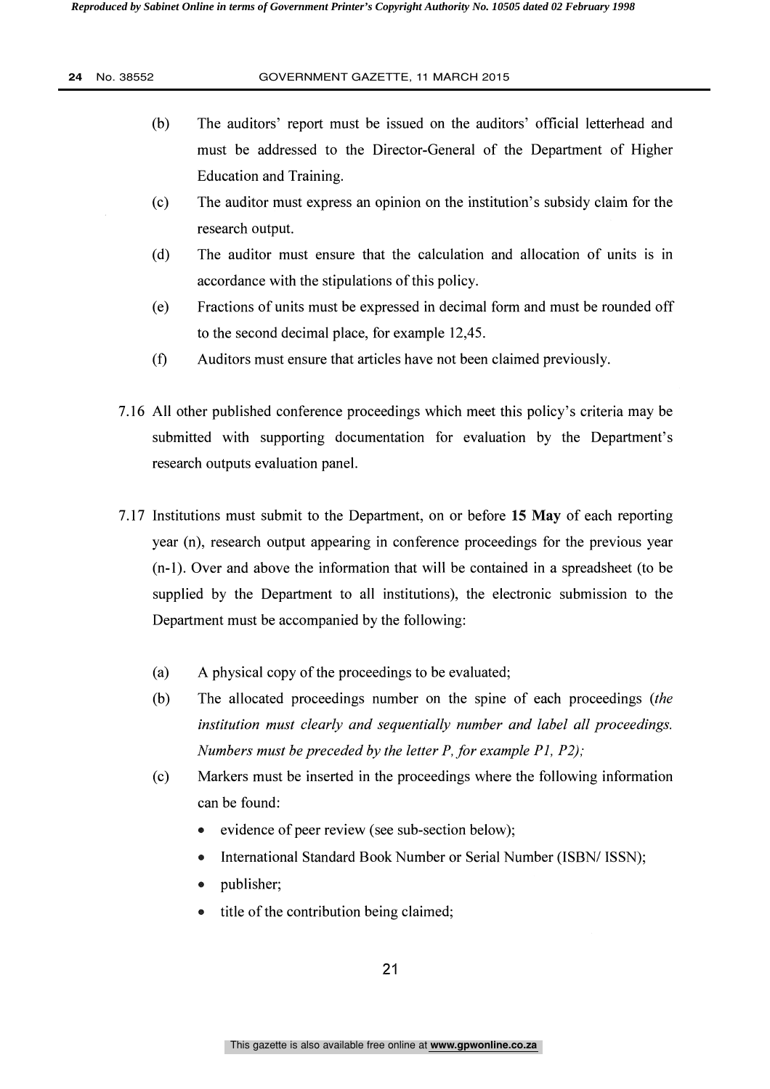- (b) The auditors' report must be issued on the auditors' official letterhead and must be addressed to the Director-General of the Department of Higher Education and Training.
- (c) The auditor must express an opinion on the institution's subsidy claim for the research output.
- (d) The auditor must ensure that the calculation and allocation of units is in accordance with the stipulations of this policy.
- (e) Fractions of units must be expressed in decimal form and must be rounded off to the second decimal place, for example 12,45.
- (f) Auditors must ensure that articles have not been claimed previously.
- 7.16 All other published conference proceedings which meet this policy's criteria may be submitted with supporting documentation for evaluation by the Department's research outputs evaluation panel.
- 7.17 Institutions must submit to the Department, on or before 15 May of each reporting year (n), research output appearing in conference proceedings for the previous year (n-1). Over and above the information that will be contained in a spreadsheet (to be supplied by the Department to all institutions), the electronic submission to the Department must be accompanied by the following:
	- (a) A physical copy of the proceedings to be evaluated;
	- (b) The allocated proceedings number on the spine of each proceedings (the institution must clearly and sequentially number and label all proceedings. Numbers must be preceded by the letter P, for example P1, P2);
	- (c) Markers must be inserted in the proceedings where the following information can be found:
		- evidence of peer review (see sub-section below);  $\bullet$
		- International Standard Book Number or Serial Number (ISBN/ ISSN);
		- publisher;
		- title of the contribution being claimed;  $\bullet$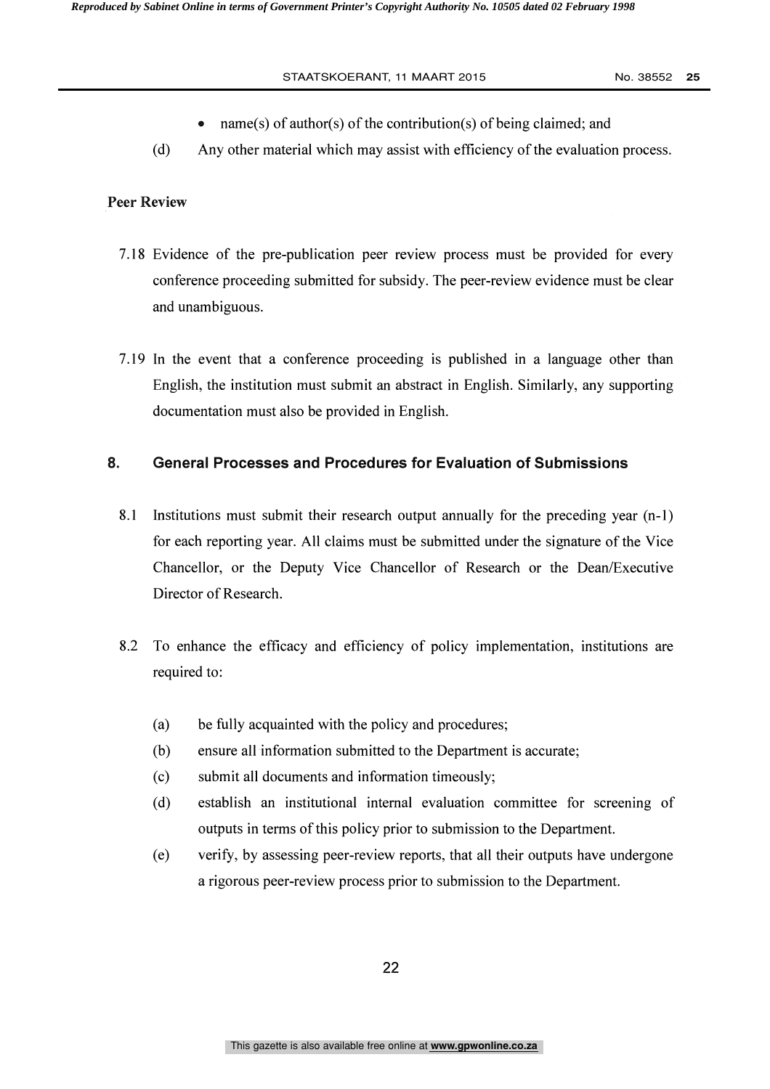- name(s) of author(s) of the contribution(s) of being claimed; and  $\bullet$
- (d) Any other material which may assist with efficiency of the evaluation process.

### Peer Review

- 7.18 Evidence of the pre-publication peer review process must be provided for every conference proceeding submitted for subsidy. The peer-review evidence must be clear and unambiguous.
- 7.19 In the event that a conference proceeding is published in a language other than English, the institution must submit an abstract in English. Similarly, any supporting documentation must also be provided in English.

### 8. General Processes and Procedures for Evaluation of Submissions

- 8.1 Institutions must submit their research output annually for the preceding year (n-1) for each reporting year. All claims must be submitted under the signature of the Vice Chancellor, or the Deputy Vice Chancellor of Research or the Dean/Executive Director of Research.
- 8.2 To enhance the efficacy and efficiency of policy implementation, institutions are required to:
	- (a) be fully acquainted with the policy and procedures;
	- (b) ensure all information submitted to the Department is accurate;
	- (c) submit all documents and information timeously;
	- (d) establish an institutional internal evaluation committee for screening of outputs in terms of this policy prior to submission to the Department.
	- (e) verify, by assessing peer-review reports, that all their outputs have undergone a rigorous peer-review process prior to submission to the Department.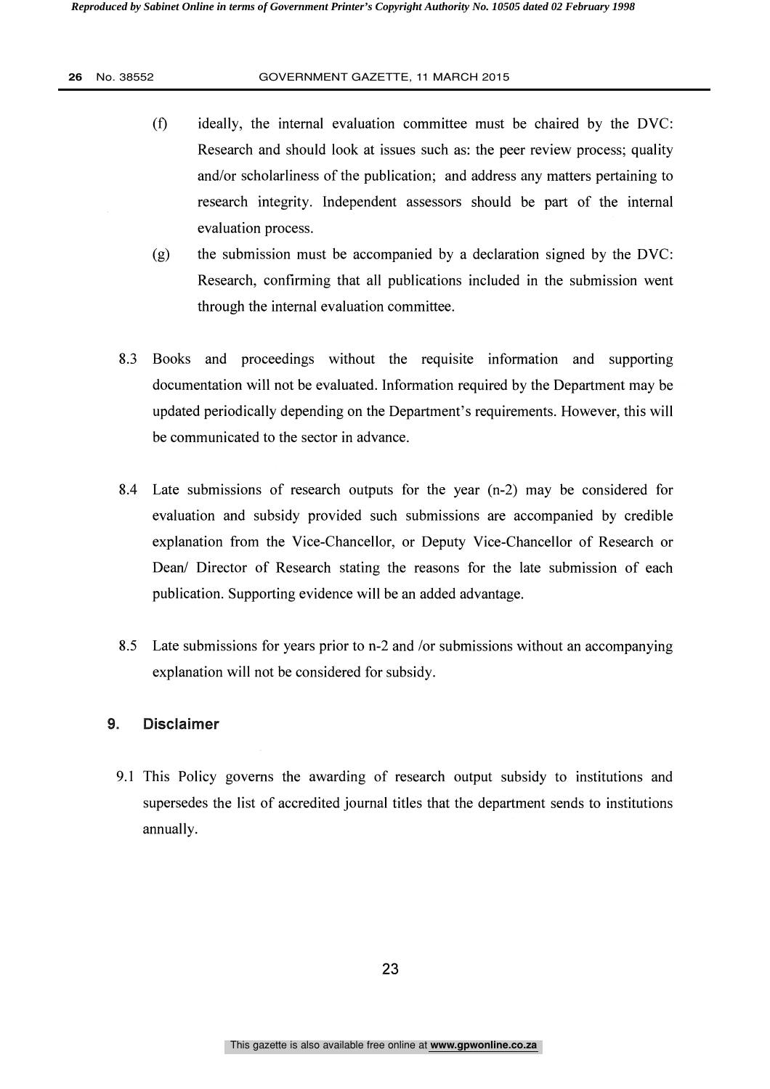- (0 ideally, the internal evaluation committee must be chaired by the DVC: Research and should look at issues such as: the peer review process; quality and/or scholarliness of the publication; and address any matters pertaining to research integrity. Independent assessors should be part of the internal evaluation process.
- (g) the submission must be accompanied by a declaration signed by the DVC: Research, confirming that all publications included in the submission went through the internal evaluation committee.
- 8.3 Books and proceedings without the requisite information and supporting documentation will not be evaluated. Information required by the Department may be updated periodically depending on the Department's requirements. However, this will be communicated to the sector in advance.
- 8.4 Late submissions of research outputs for the year (n-2) may be considered for evaluation and subsidy provided such submissions are accompanied by credible explanation from the Vice-Chancellor, or Deputy Vice-Chancellor of Research or Dean/ Director of Research stating the reasons for the late submission of each publication. Supporting evidence will be an added advantage.
- 8.5 Late submissions for years prior to n-2 and /or submissions without an accompanying explanation will not be considered for subsidy.

### 9. Disclaimer

9.1 This Policy governs the awarding of research output subsidy to institutions and supersedes the list of accredited journal titles that the department sends to institutions annually.